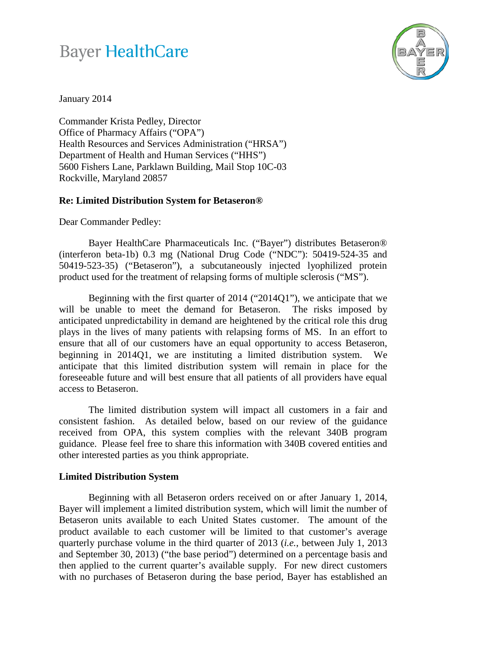## **Bayer HealthCare**



January 2014

Commander Krista Pedley, Director Office of Pharmacy Affairs ("OPA") Health Resources and Services Administration ("HRSA") Department of Health and Human Services ("HHS") 5600 Fishers Lane, Parklawn Building, Mail Stop 10C-03 Rockville, Maryland 20857

## **Re: Limited Distribution System for Betaseron®**

Dear Commander Pedley:

Bayer HealthCare Pharmaceuticals Inc. ("Bayer") distributes Betaseron® (interferon beta-1b) 0.3 mg (National Drug Code ("NDC"): 50419-524-35 and 50419-523-35) ("Betaseron"), a subcutaneously injected lyophilized protein product used for the treatment of relapsing forms of multiple sclerosis ("MS").

Beginning with the first quarter of 2014 ("2014Q1"), we anticipate that we will be unable to meet the demand for Betaseron. The risks imposed by anticipated unpredictability in demand are heightened by the critical role this drug plays in the lives of many patients with relapsing forms of MS. In an effort to ensure that all of our customers have an equal opportunity to access Betaseron, beginning in 2014Q1, we are instituting a limited distribution system. We anticipate that this limited distribution system will remain in place for the foreseeable future and will best ensure that all patients of all providers have equal access to Betaseron.

The limited distribution system will impact all customers in a fair and consistent fashion. As detailed below, based on our review of the guidance received from OPA, this system complies with the relevant 340B program guidance. Please feel free to share this information with 340B covered entities and other interested parties as you think appropriate.

## **Limited Distribution System**

Beginning with all Betaseron orders received on or after January 1, 2014, Bayer will implement a limited distribution system, which will limit the number of Betaseron units available to each United States customer. The amount of the product available to each customer will be limited to that customer's average quarterly purchase volume in the third quarter of 2013 (*i.e.*, between July 1, 2013 and September 30, 2013) ("the base period") determined on a percentage basis and then applied to the current quarter's available supply. For new direct customers with no purchases of Betaseron during the base period, Bayer has established an